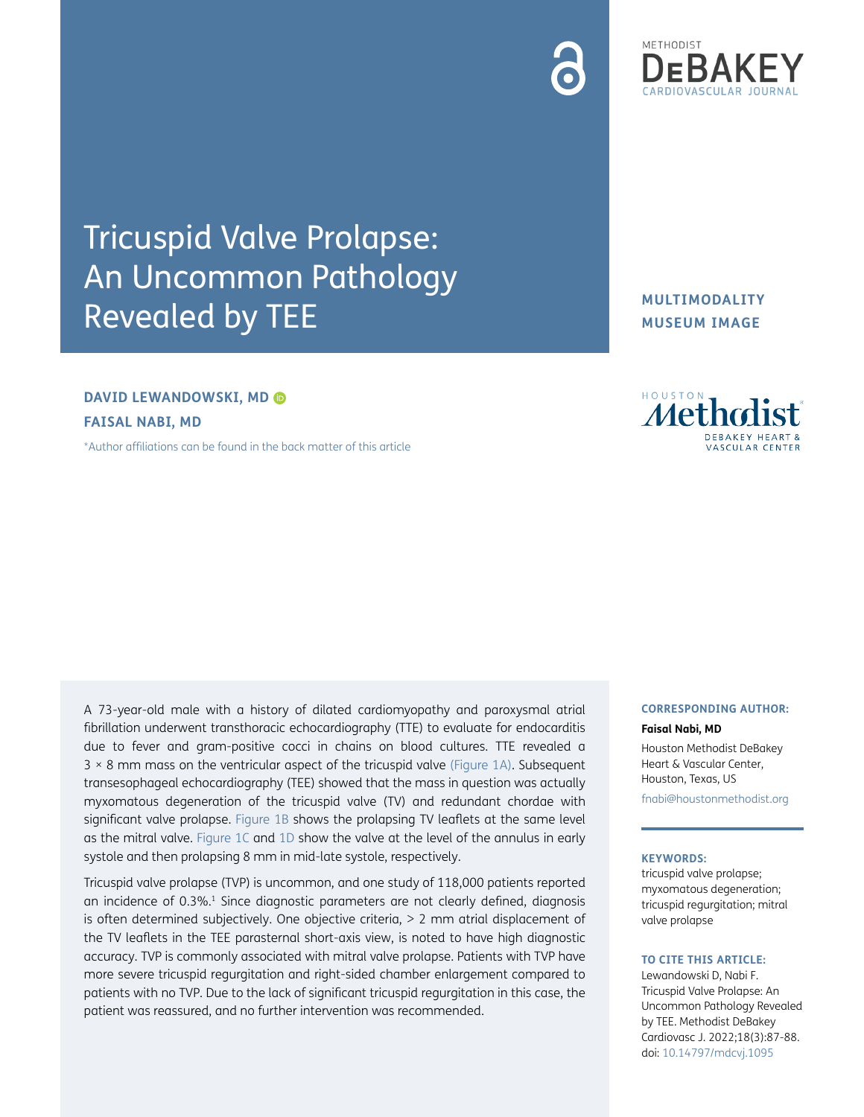

## **DAVID LEWANDOWSKI, MD**

**FAISAL NABI, MD**

[\\*Author affiliations can be found in the back matter of this article](#page-1-2)

A 73-year-old male with a history of dilated cardiomyopathy and paroxysmal atrial fibrillation underwent transthoracic echocardiography (TTE) to evaluate for endocarditis due to fever and gram-positive cocci in chains on blood cultures. TTE revealed a 3 × 8 mm mass on the ventricular aspect of the tricuspid valve ([Figure 1A\)](#page-1-0). Subsequent transesophageal echocardiography (TEE) showed that the mass in question was actually myxomatous degeneration of the tricuspid valve (TV) and redundant chordae with significant valve prolapse. [Figure 1B](#page-1-0) shows the prolapsing TV leaflets at the same level as the mitral valve. [Figure 1C](#page-1-0) and [1D](#page-1-0) show the valve at the level of the annulus in early systole and then prolapsing 8 mm in mid-late systole, respectively.

Tricuspid valve prolapse (TVP) is uncommon, and one study of 118,000 patients reported an incidence of 0.3%.<sup>1</sup> Since diagnostic parameters are not clearly defined, diagnosis is often determined subjectively. One objective criteria, > 2 mm atrial displacement of the TV leaflets in the TEE parasternal short-axis view, is noted to have high diagnostic accuracy. TVP is commonly associated with mitral valve prolapse. Patients with TVP have more severe tricuspid regurgitation and right-sided chamber enlargement compared to patients with no TVP. Due to the lack of significant tricuspid regurgitation in this case, the patient was reassured, and no further intervention was recommended.

**MULTIMODALITY MUSEUM IMAGE**



### **CORRESPONDING AUTHOR:**

#### **Faisal Nabi, MD**

Houston Methodist DeBakey Heart & Vascular Center, Houston, Texas, US [fnabi@houstonmethodist.org](mailto:fnabi@houstonmethodist.org)

#### **KEYWORDS:**

tricuspid valve prolapse; myxomatous degeneration; tricuspid regurgitation; mitral valve prolapse

### **TO CITE THIS ARTICLE:**

Lewandowski D, Nabi F. Tricuspid Valve Prolapse: An Uncommon Pathology Revealed by TEE. Methodist DeBakey Cardiovasc J. 2022;18(3):87-88. doi: [10.14797/mdcvj.1095](https://doi.org/10.14797/mdcvj.1095)